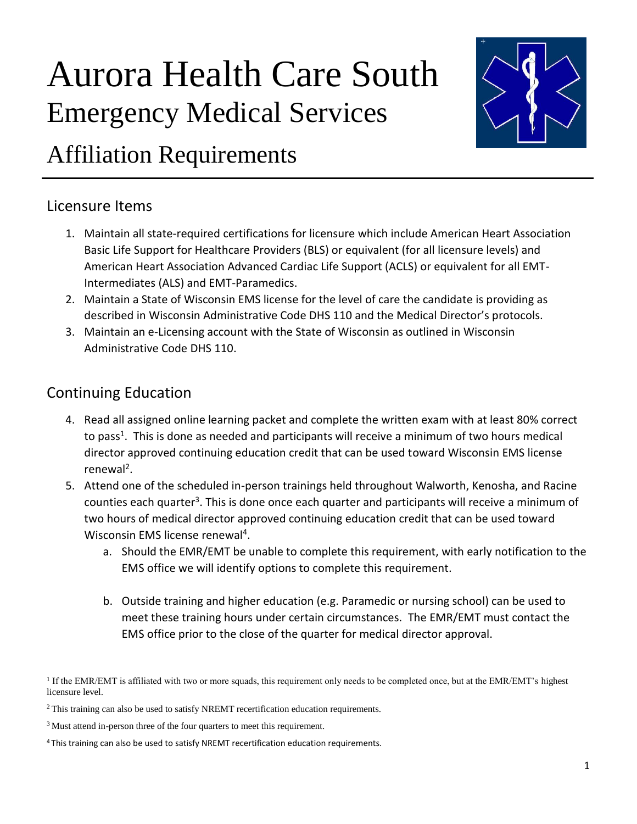# Aurora Health Care South Emergency Medical Services



## Affiliation Requirements

### Licensure Items

- 1. Maintain all state-required certifications for licensure which include American Heart Association Basic Life Support for Healthcare Providers (BLS) or equivalent (for all licensure levels) and American Heart Association Advanced Cardiac Life Support (ACLS) or equivalent for all EMT-Intermediates (ALS) and EMT-Paramedics.
- 2. Maintain a State of Wisconsin EMS license for the level of care the candidate is providing as described in Wisconsin Administrative Code DHS 110 and the Medical Director's protocols.
- 3. Maintain an e-Licensing account with the State of Wisconsin as outlined in Wisconsin Administrative Code DHS 110.

### Continuing Education

- 4. Read all assigned online learning packet and complete the written exam with at least 80% correct to pass<sup>1</sup>. This is done as needed and participants will receive a minimum of two hours medical director approved continuing education credit that can be used toward Wisconsin EMS license renewal<sup>2</sup>.
- 5. Attend one of the scheduled in-person trainings held throughout Walworth, Kenosha, and Racine counties each quarter<sup>3</sup>. This is done once each quarter and participants will receive a minimum of two hours of medical director approved continuing education credit that can be used toward Wisconsin EMS license renewal<sup>4</sup>.
	- a. Should the EMR/EMT be unable to complete this requirement, with early notification to the EMS office we will identify options to complete this requirement.
	- b. Outside training and higher education (e.g. Paramedic or nursing school) can be used to meet these training hours under certain circumstances. The EMR/EMT must contact the EMS office prior to the close of the quarter for medical director approval.

<sup>1</sup> If the EMR/EMT is affiliated with two or more squads, this requirement only needs to be completed once, but at the EMR/EMT's highest licensure level.

<sup>&</sup>lt;sup>2</sup> This training can also be used to satisfy NREMT recertification education requirements.

<sup>&</sup>lt;sup>3</sup> Must attend in-person three of the four quarters to meet this requirement.

<sup>&</sup>lt;sup>4</sup> This training can also be used to satisfy NREMT recertification education requirements.